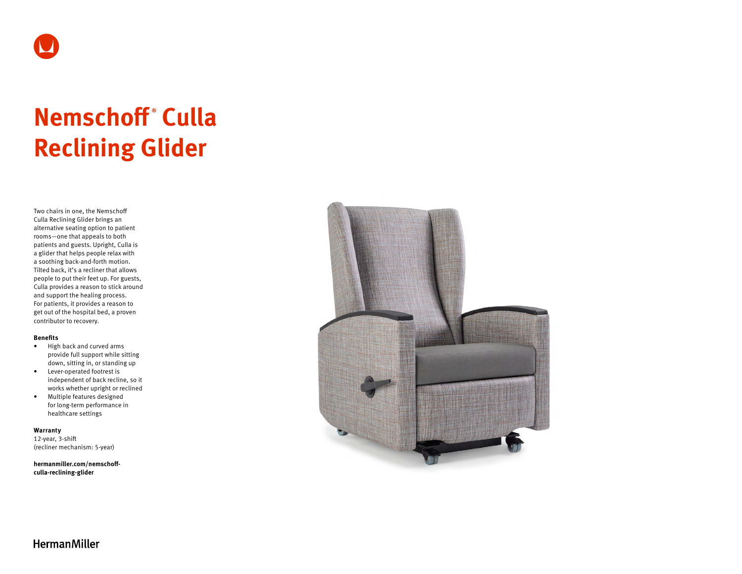

# **Nemschoff ® Culla Reclining Glider**

Two chairs in one, the Nemschoff Culla Reclining Glider brings an alternative seating option to patient rooms—one that appeals to both patients and guests. Upright, Culla is a glider that helps people relax with a soothing back-and-forth motion. Tilted back, it's a recliner that allows people to put their feet up. For guests, Culla provides a reason to stick around and support the healing process. For patients, it provides a reason to get out of the hospital bed, a proven contributor to recovery.

#### **Benefits**

- High back and curved arms provide full support while sitting down, sitting in, or standing up
- Lever-operated footrest is independent of back recline, so it works whether upright or reclined
- Multiple features designed for long-term performance in healthcare settings

**Warranty**  12-year, 3-shift

(recliner mechanism: 5-year)

**[hermanmiller.com/nemschoff](http://hermanmiller.com/nemschoff-culla-reclining-glider)[culla-reclining-glider](http://hermanmiller.com/nemschoff-culla-reclining-glider)**



# **HermanMiller**